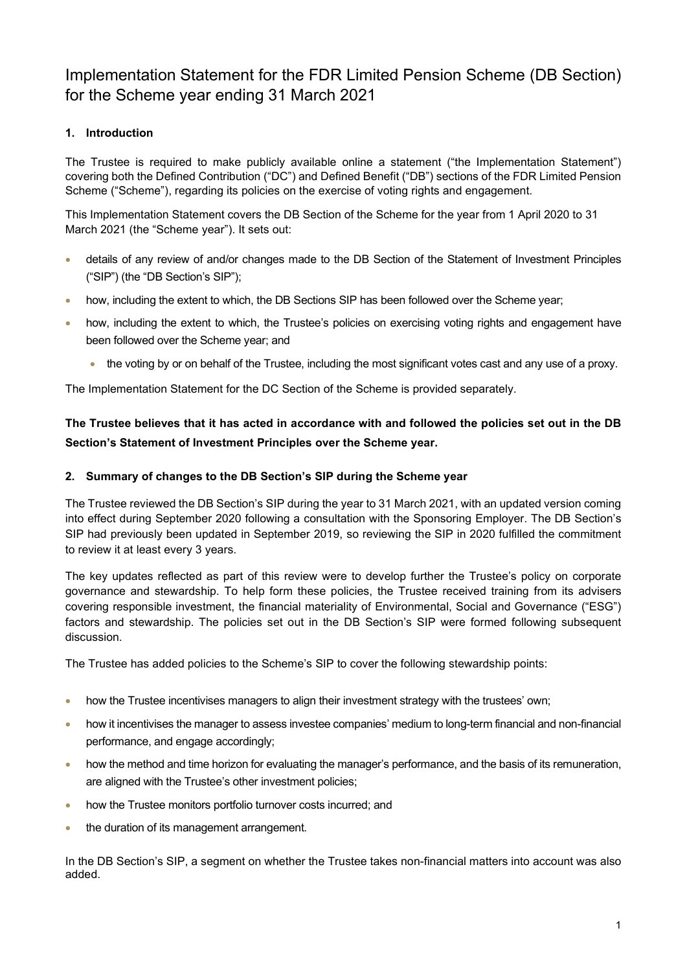# Implementation Statement for the FDR Limited Pension Scheme (DB Section) for the Scheme year ending 31 March 2021

# 1. Introduction

The Trustee is required to make publicly available online a statement ("the Implementation Statement") covering both the Defined Contribution ("DC") and Defined Benefit ("DB") sections of the FDR Limited Pension Scheme ("Scheme"), regarding its policies on the exercise of voting rights and engagement.

This Implementation Statement covers the DB Section of the Scheme for the year from 1 April 2020 to 31 March 2021 (the "Scheme year"). It sets out:

- details of any review of and/or changes made to the DB Section of the Statement of Investment Principles ("SIP") (the "DB Section's SIP");
- how, including the extent to which, the DB Sections SIP has been followed over the Scheme year;
- how, including the extent to which, the Trustee's policies on exercising voting rights and engagement have been followed over the Scheme year; and
	- the voting by or on behalf of the Trustee, including the most significant votes cast and any use of a proxy.

The Implementation Statement for the DC Section of the Scheme is provided separately.

# The Trustee believes that it has acted in accordance with and followed the policies set out in the DB Section's Statement of Investment Principles over the Scheme year.

### 2. Summary of changes to the DB Section's SIP during the Scheme year

The Trustee reviewed the DB Section's SIP during the year to 31 March 2021, with an updated version coming into effect during September 2020 following a consultation with the Sponsoring Employer. The DB Section's SIP had previously been updated in September 2019, so reviewing the SIP in 2020 fulfilled the commitment to review it at least every 3 years.

The key updates reflected as part of this review were to develop further the Trustee's policy on corporate governance and stewardship. To help form these policies, the Trustee received training from its advisers covering responsible investment, the financial materiality of Environmental, Social and Governance ("ESG") factors and stewardship. The policies set out in the DB Section's SIP were formed following subsequent discussion.

The Trustee has added policies to the Scheme's SIP to cover the following stewardship points:

- how the Trustee incentivises managers to align their investment strategy with the trustees' own;
- how it incentivises the manager to assess investee companies' medium to long-term financial and non-financial performance, and engage accordingly;
- how the method and time horizon for evaluating the manager's performance, and the basis of its remuneration, are aligned with the Trustee's other investment policies;
- how the Trustee monitors portfolio turnover costs incurred; and
- the duration of its management arrangement.

In the DB Section's SIP, a segment on whether the Trustee takes non-financial matters into account was also added.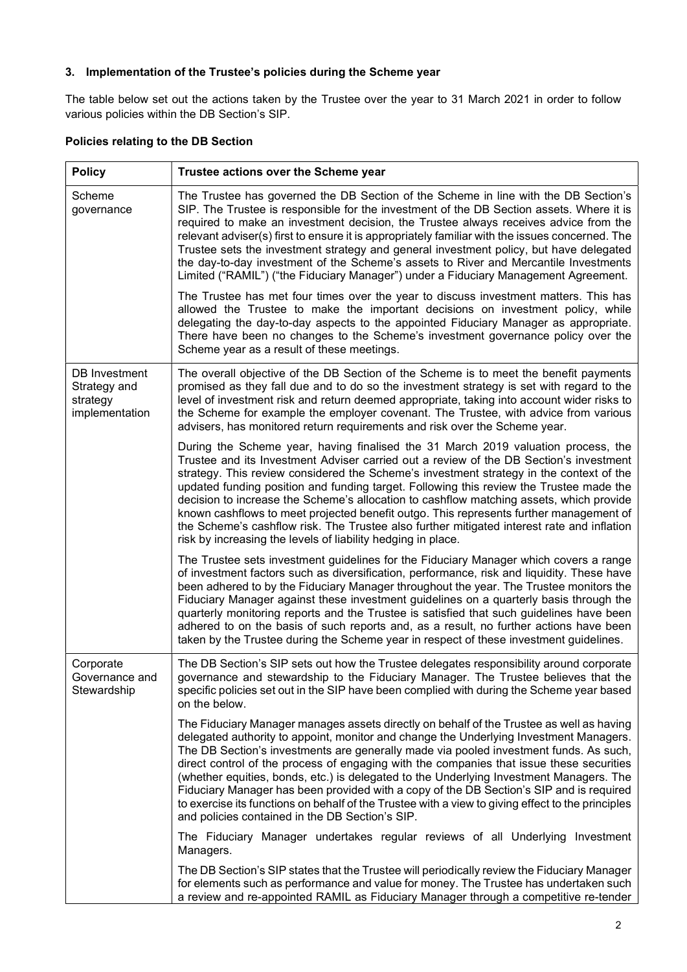# 3. Implementation of the Trustee's policies during the Scheme year

The table below set out the actions taken by the Trustee over the year to 31 March 2021 in order to follow various policies within the DB Section's SIP.

# Policies relating to the DB Section

| <b>Policy</b>                                               | Trustee actions over the Scheme year                                                                                                                                                                                                                                                                                                                                                                                                                                                                                                                                                                                                                                                                                  |
|-------------------------------------------------------------|-----------------------------------------------------------------------------------------------------------------------------------------------------------------------------------------------------------------------------------------------------------------------------------------------------------------------------------------------------------------------------------------------------------------------------------------------------------------------------------------------------------------------------------------------------------------------------------------------------------------------------------------------------------------------------------------------------------------------|
| Scheme<br>governance                                        | The Trustee has governed the DB Section of the Scheme in line with the DB Section's<br>SIP. The Trustee is responsible for the investment of the DB Section assets. Where it is<br>required to make an investment decision, the Trustee always receives advice from the<br>relevant adviser(s) first to ensure it is appropriately familiar with the issues concerned. The<br>Trustee sets the investment strategy and general investment policy, but have delegated<br>the day-to-day investment of the Scheme's assets to River and Mercantile Investments<br>Limited ("RAMIL") ("the Fiduciary Manager") under a Fiduciary Management Agreement.                                                                   |
|                                                             | The Trustee has met four times over the year to discuss investment matters. This has<br>allowed the Trustee to make the important decisions on investment policy, while<br>delegating the day-to-day aspects to the appointed Fiduciary Manager as appropriate.<br>There have been no changes to the Scheme's investment governance policy over the<br>Scheme year as a result of these meetings.                                                                                                                                                                                                                                                                                                                     |
| DB Investment<br>Strategy and<br>strategy<br>implementation | The overall objective of the DB Section of the Scheme is to meet the benefit payments<br>promised as they fall due and to do so the investment strategy is set with regard to the<br>level of investment risk and return deemed appropriate, taking into account wider risks to<br>the Scheme for example the employer covenant. The Trustee, with advice from various<br>advisers, has monitored return requirements and risk over the Scheme year.                                                                                                                                                                                                                                                                  |
|                                                             | During the Scheme year, having finalised the 31 March 2019 valuation process, the<br>Trustee and its Investment Adviser carried out a review of the DB Section's investment<br>strategy. This review considered the Scheme's investment strategy in the context of the<br>updated funding position and funding target. Following this review the Trustee made the<br>decision to increase the Scheme's allocation to cashflow matching assets, which provide<br>known cashflows to meet projected benefit outgo. This represents further management of<br>the Scheme's cashflow risk. The Trustee also further mitigated interest rate and inflation<br>risk by increasing the levels of liability hedging in place.  |
|                                                             | The Trustee sets investment guidelines for the Fiduciary Manager which covers a range<br>of investment factors such as diversification, performance, risk and liquidity. These have<br>been adhered to by the Fiduciary Manager throughout the year. The Trustee monitors the<br>Fiduciary Manager against these investment guidelines on a quarterly basis through the<br>quarterly monitoring reports and the Trustee is satisfied that such guidelines have been<br>adhered to on the basis of such reports and, as a result, no further actions have been<br>taken by the Trustee during the Scheme year in respect of these investment guidelines.                                                               |
| Corporate<br>Governance and<br>Stewardship                  | The DB Section's SIP sets out how the Trustee delegates responsibility around corporate<br>governance and stewardship to the Fiduciary Manager. The Trustee believes that the<br>specific policies set out in the SIP have been complied with during the Scheme year based<br>on the below.                                                                                                                                                                                                                                                                                                                                                                                                                           |
|                                                             | The Fiduciary Manager manages assets directly on behalf of the Trustee as well as having<br>delegated authority to appoint, monitor and change the Underlying Investment Managers.<br>The DB Section's investments are generally made via pooled investment funds. As such,<br>direct control of the process of engaging with the companies that issue these securities<br>(whether equities, bonds, etc.) is delegated to the Underlying Investment Managers. The<br>Fiduciary Manager has been provided with a copy of the DB Section's SIP and is required<br>to exercise its functions on behalf of the Trustee with a view to giving effect to the principles<br>and policies contained in the DB Section's SIP. |
|                                                             | The Fiduciary Manager undertakes regular reviews of all Underlying<br>Investment<br>Managers.                                                                                                                                                                                                                                                                                                                                                                                                                                                                                                                                                                                                                         |
|                                                             | The DB Section's SIP states that the Trustee will periodically review the Fiduciary Manager<br>for elements such as performance and value for money. The Trustee has undertaken such<br>a review and re-appointed RAMIL as Fiduciary Manager through a competitive re-tender                                                                                                                                                                                                                                                                                                                                                                                                                                          |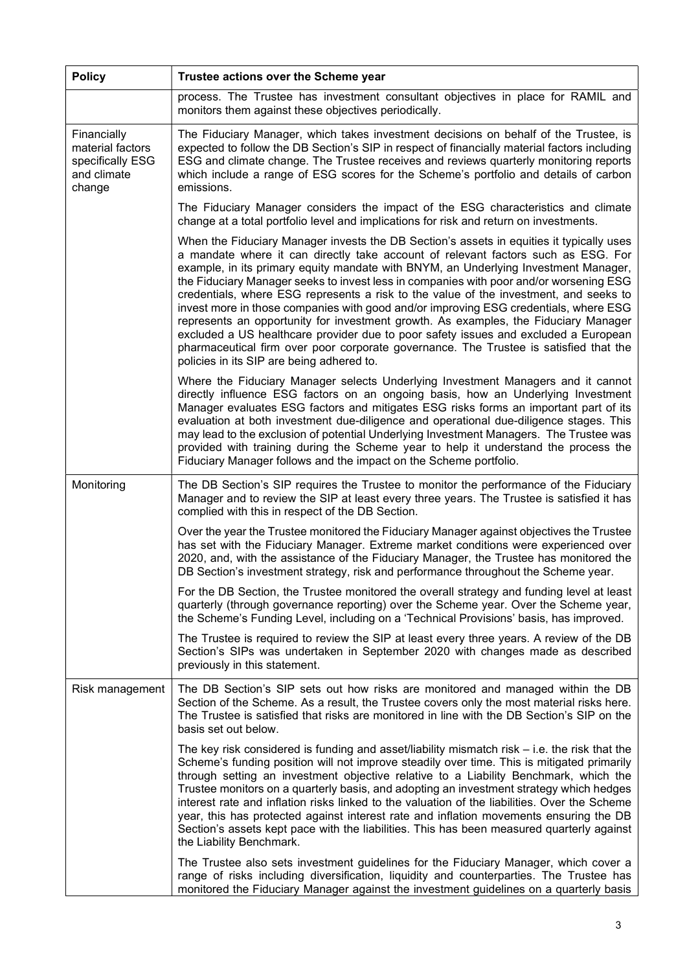| <b>Policy</b>                                                                | Trustee actions over the Scheme year                                                                                                                                                                                                                                                                                                                                                                                                                                                                                                                                                                                                                                                                                                                                                                                                                                |  |
|------------------------------------------------------------------------------|---------------------------------------------------------------------------------------------------------------------------------------------------------------------------------------------------------------------------------------------------------------------------------------------------------------------------------------------------------------------------------------------------------------------------------------------------------------------------------------------------------------------------------------------------------------------------------------------------------------------------------------------------------------------------------------------------------------------------------------------------------------------------------------------------------------------------------------------------------------------|--|
|                                                                              | process. The Trustee has investment consultant objectives in place for RAMIL and<br>monitors them against these objectives periodically.                                                                                                                                                                                                                                                                                                                                                                                                                                                                                                                                                                                                                                                                                                                            |  |
| Financially<br>material factors<br>specifically ESG<br>and climate<br>change | The Fiduciary Manager, which takes investment decisions on behalf of the Trustee, is<br>expected to follow the DB Section's SIP in respect of financially material factors including<br>ESG and climate change. The Trustee receives and reviews quarterly monitoring reports<br>which include a range of ESG scores for the Scheme's portfolio and details of carbon<br>emissions.                                                                                                                                                                                                                                                                                                                                                                                                                                                                                 |  |
|                                                                              | The Fiduciary Manager considers the impact of the ESG characteristics and climate<br>change at a total portfolio level and implications for risk and return on investments.                                                                                                                                                                                                                                                                                                                                                                                                                                                                                                                                                                                                                                                                                         |  |
|                                                                              | When the Fiduciary Manager invests the DB Section's assets in equities it typically uses<br>a mandate where it can directly take account of relevant factors such as ESG. For<br>example, in its primary equity mandate with BNYM, an Underlying Investment Manager,<br>the Fiduciary Manager seeks to invest less in companies with poor and/or worsening ESG<br>credentials, where ESG represents a risk to the value of the investment, and seeks to<br>invest more in those companies with good and/or improving ESG credentials, where ESG<br>represents an opportunity for investment growth. As examples, the Fiduciary Manager<br>excluded a US healthcare provider due to poor safety issues and excluded a European<br>pharmaceutical firm over poor corporate governance. The Trustee is satisfied that the<br>policies in its SIP are being adhered to. |  |
|                                                                              | Where the Fiduciary Manager selects Underlying Investment Managers and it cannot<br>directly influence ESG factors on an ongoing basis, how an Underlying Investment<br>Manager evaluates ESG factors and mitigates ESG risks forms an important part of its<br>evaluation at both investment due-diligence and operational due-diligence stages. This<br>may lead to the exclusion of potential Underlying Investment Managers. The Trustee was<br>provided with training during the Scheme year to help it understand the process the<br>Fiduciary Manager follows and the impact on the Scheme portfolio.                                                                                                                                                                                                                                                        |  |
| Monitoring                                                                   | The DB Section's SIP requires the Trustee to monitor the performance of the Fiduciary<br>Manager and to review the SIP at least every three years. The Trustee is satisfied it has<br>complied with this in respect of the DB Section.                                                                                                                                                                                                                                                                                                                                                                                                                                                                                                                                                                                                                              |  |
|                                                                              | Over the year the Trustee monitored the Fiduciary Manager against objectives the Trustee<br>has set with the Fiduciary Manager. Extreme market conditions were experienced over<br>2020, and, with the assistance of the Fiduciary Manager, the Trustee has monitored the<br>DB Section's investment strategy, risk and performance throughout the Scheme year.                                                                                                                                                                                                                                                                                                                                                                                                                                                                                                     |  |
|                                                                              | For the DB Section, the Trustee monitored the overall strategy and funding level at least<br>quarterly (through governance reporting) over the Scheme year. Over the Scheme year,<br>the Scheme's Funding Level, including on a 'Technical Provisions' basis, has improved.                                                                                                                                                                                                                                                                                                                                                                                                                                                                                                                                                                                         |  |
|                                                                              | The Trustee is required to review the SIP at least every three years. A review of the DB<br>Section's SIPs was undertaken in September 2020 with changes made as described<br>previously in this statement.                                                                                                                                                                                                                                                                                                                                                                                                                                                                                                                                                                                                                                                         |  |
| Risk management                                                              | The DB Section's SIP sets out how risks are monitored and managed within the DB<br>Section of the Scheme. As a result, the Trustee covers only the most material risks here.<br>The Trustee is satisfied that risks are monitored in line with the DB Section's SIP on the<br>basis set out below.                                                                                                                                                                                                                                                                                                                                                                                                                                                                                                                                                                  |  |
|                                                                              | The key risk considered is funding and asset/liability mismatch risk $-$ i.e. the risk that the<br>Scheme's funding position will not improve steadily over time. This is mitigated primarily<br>through setting an investment objective relative to a Liability Benchmark, which the<br>Trustee monitors on a quarterly basis, and adopting an investment strategy which hedges<br>interest rate and inflation risks linked to the valuation of the liabilities. Over the Scheme<br>year, this has protected against interest rate and inflation movements ensuring the DB<br>Section's assets kept pace with the liabilities. This has been measured quarterly against<br>the Liability Benchmark.                                                                                                                                                                |  |
|                                                                              | The Trustee also sets investment guidelines for the Fiduciary Manager, which cover a<br>range of risks including diversification, liquidity and counterparties. The Trustee has<br>monitored the Fiduciary Manager against the investment guidelines on a quarterly basis                                                                                                                                                                                                                                                                                                                                                                                                                                                                                                                                                                                           |  |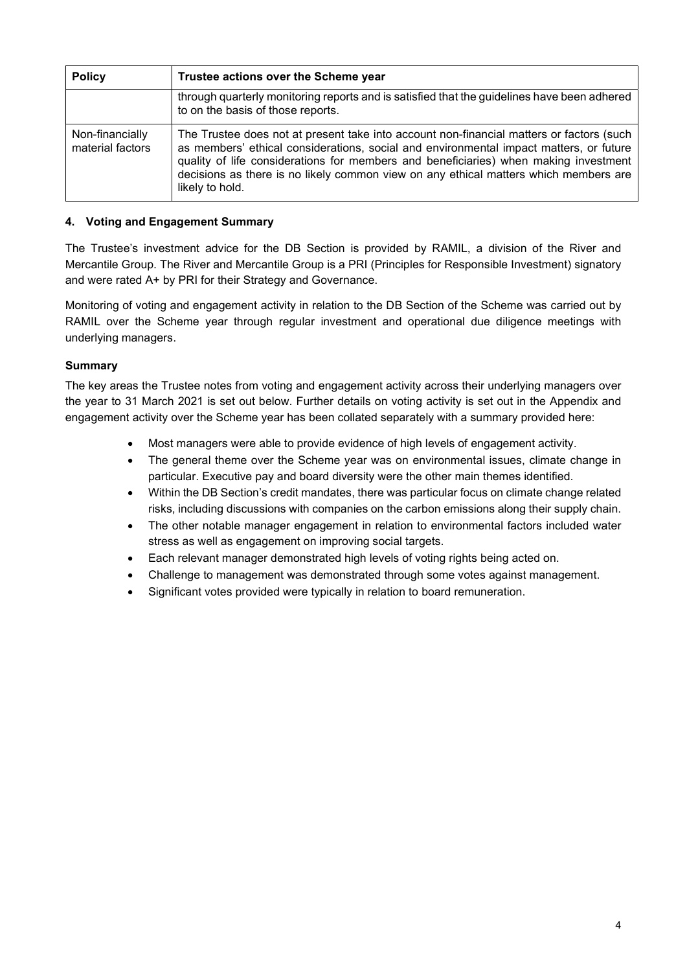| <b>Policy</b>                       | Trustee actions over the Scheme year                                                                                                                                                                                                                                                                                                                                                  |
|-------------------------------------|---------------------------------------------------------------------------------------------------------------------------------------------------------------------------------------------------------------------------------------------------------------------------------------------------------------------------------------------------------------------------------------|
|                                     | through quarterly monitoring reports and is satisfied that the guidelines have been adhered<br>to on the basis of those reports.                                                                                                                                                                                                                                                      |
| Non-financially<br>material factors | The Trustee does not at present take into account non-financial matters or factors (such<br>as members' ethical considerations, social and environmental impact matters, or future<br>quality of life considerations for members and beneficiaries) when making investment<br>decisions as there is no likely common view on any ethical matters which members are<br>likely to hold. |

# 4. Voting and Engagement Summary

The Trustee's investment advice for the DB Section is provided by RAMIL, a division of the River and Mercantile Group. The River and Mercantile Group is a PRI (Principles for Responsible Investment) signatory and were rated A+ by PRI for their Strategy and Governance.

Monitoring of voting and engagement activity in relation to the DB Section of the Scheme was carried out by RAMIL over the Scheme year through regular investment and operational due diligence meetings with underlying managers.

### **Summary**

The key areas the Trustee notes from voting and engagement activity across their underlying managers over the year to 31 March 2021 is set out below. Further details on voting activity is set out in the Appendix and engagement activity over the Scheme year has been collated separately with a summary provided here:

- Most managers were able to provide evidence of high levels of engagement activity.
- The general theme over the Scheme year was on environmental issues, climate change in particular. Executive pay and board diversity were the other main themes identified.
- Within the DB Section's credit mandates, there was particular focus on climate change related risks, including discussions with companies on the carbon emissions along their supply chain.
- The other notable manager engagement in relation to environmental factors included water stress as well as engagement on improving social targets.
- Each relevant manager demonstrated high levels of voting rights being acted on.
- Challenge to management was demonstrated through some votes against management.
- Significant votes provided were typically in relation to board remuneration.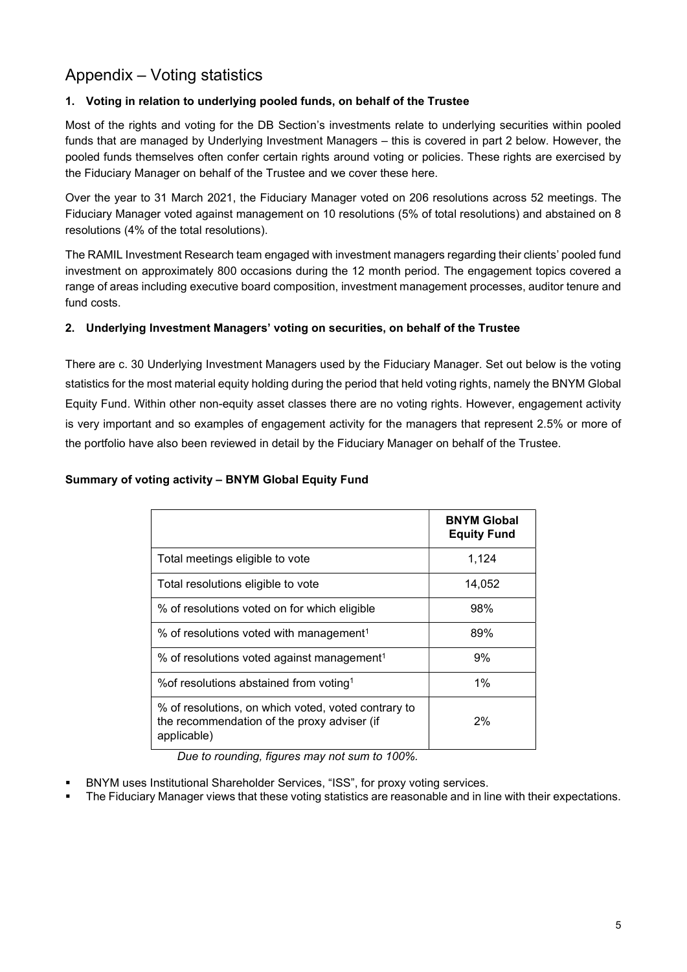# Appendix – Voting statistics

# 1. Voting in relation to underlying pooled funds, on behalf of the Trustee

Most of the rights and voting for the DB Section's investments relate to underlying securities within pooled funds that are managed by Underlying Investment Managers – this is covered in part 2 below. However, the pooled funds themselves often confer certain rights around voting or policies. These rights are exercised by the Fiduciary Manager on behalf of the Trustee and we cover these here.

Over the year to 31 March 2021, the Fiduciary Manager voted on 206 resolutions across 52 meetings. The Fiduciary Manager voted against management on 10 resolutions (5% of total resolutions) and abstained on 8 resolutions (4% of the total resolutions).

The RAMIL Investment Research team engaged with investment managers regarding their clients' pooled fund investment on approximately 800 occasions during the 12 month period. The engagement topics covered a range of areas including executive board composition, investment management processes, auditor tenure and fund costs.

### 2. Underlying Investment Managers' voting on securities, on behalf of the Trustee

There are c. 30 Underlying Investment Managers used by the Fiduciary Manager. Set out below is the voting statistics for the most material equity holding during the period that held voting rights, namely the BNYM Global Equity Fund. Within other non-equity asset classes there are no voting rights. However, engagement activity is very important and so examples of engagement activity for the managers that represent 2.5% or more of the portfolio have also been reviewed in detail by the Fiduciary Manager on behalf of the Trustee.

### Summary of voting activity – BNYM Global Equity Fund

|                                                                                                                   | <b>BNYM Global</b><br><b>Equity Fund</b> |
|-------------------------------------------------------------------------------------------------------------------|------------------------------------------|
| Total meetings eligible to vote                                                                                   | 1,124                                    |
| Total resolutions eligible to vote                                                                                | 14,052                                   |
| % of resolutions voted on for which eligible                                                                      | 98%                                      |
| % of resolutions voted with management <sup>1</sup>                                                               | 89%                                      |
| % of resolutions voted against management <sup>1</sup>                                                            | 9%                                       |
| % of resolutions abstained from voting <sup>1</sup>                                                               | $1\%$                                    |
| % of resolutions, on which voted, voted contrary to<br>the recommendation of the proxy adviser (if<br>applicable) | 2%                                       |

Due to rounding, figures may not sum to 100%.

- BNYM uses Institutional Shareholder Services, "ISS", for proxy voting services.
- The Fiduciary Manager views that these voting statistics are reasonable and in line with their expectations.